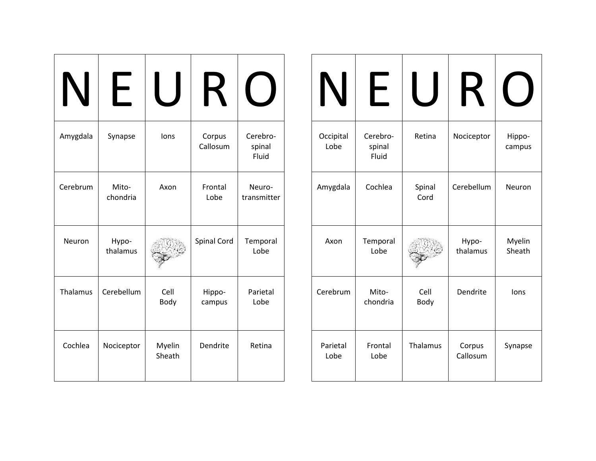|          | ┝                 |                  | $\boldsymbol{\mathsf{K}}$ |                             |
|----------|-------------------|------------------|---------------------------|-----------------------------|
| Amygdala | Synapse           | lons             | Corpus<br>Callosum        | Cerebro-<br>spinal<br>Fluid |
| Cerebrum | Mito-<br>chondria | Axon             | Frontal<br>Lobe           | Neuro-<br>transmitter       |
| Neuron   | Hypo-<br>thalamus |                  | <b>Spinal Cord</b>        | Temporal<br>Lobe            |
| Thalamus | Cerebellum        | Cell<br>Body     | Hippo-<br>campus          | Parietal<br>Lobe            |
| Cochlea  | Nociceptor        | Myelin<br>Sheath | Dendrite                  | Retina                      |

| $\mathbf N$       | ┣                           |                | $\boldsymbol{\mathsf{R}}$ |                  |
|-------------------|-----------------------------|----------------|---------------------------|------------------|
| Occipital<br>Lobe | Cerebro-<br>spinal<br>Fluid | Retina         | Nociceptor                | Hippo-<br>campus |
| Amygdala          | Cochlea                     | Spinal<br>Cord | Cerebellum                | Neuron           |
| Axon              | Temporal<br>Lobe            |                | Hypo-<br>thalamus         | Myelin<br>Sheath |
| Cerebrum          | Mito-<br>chondria           | Cell<br>Body   | Dendrite                  | lons             |
| Parietal<br>Lobe  | Frontal<br>Lobe             | Thalamus       | Corpus<br>Callosum        | Synapse          |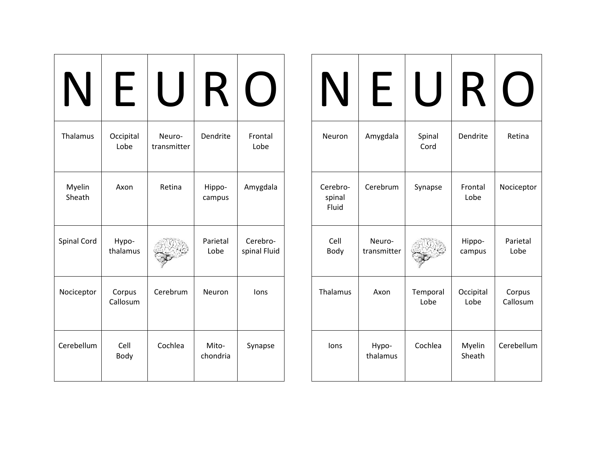| Thalamus           | Occipital<br>Lobe  | Neuro-<br>transmitter | Dendrite          | Frontal<br>Lobe          |
|--------------------|--------------------|-----------------------|-------------------|--------------------------|
| Myelin<br>Sheath   | Axon               | Retina                | Hippo-<br>campus  | Amygdala                 |
| <b>Spinal Cord</b> | Hypo-<br>thalamus  |                       | Parietal<br>Lobe  | Cerebro-<br>spinal Fluid |
| Nociceptor         | Corpus<br>Callosum | Cerebrum              | Neuron            | lons                     |
| Cerebellum         | Cell<br>Body       | Cochlea               | Mito-<br>chondria | Synapse                  |

| IV                          |                       |                  |                   |                    |
|-----------------------------|-----------------------|------------------|-------------------|--------------------|
| Neuron                      | Amygdala              | Spinal<br>Cord   | Dendrite          | Retina             |
| Cerebro-<br>spinal<br>Fluid | Cerebrum              | Synapse          | Frontal<br>Lobe   | Nociceptor         |
| Cell<br>Body                | Neuro-<br>transmitter |                  | Hippo-<br>campus  | Parietal<br>Lobe   |
| Thalamus                    | Axon                  | Temporal<br>Lobe | Occipital<br>Lobe | Corpus<br>Callosum |
| lons                        | Hypo-<br>thalamus     | Cochlea          | Myelin<br>Sheath  | Cerebellum         |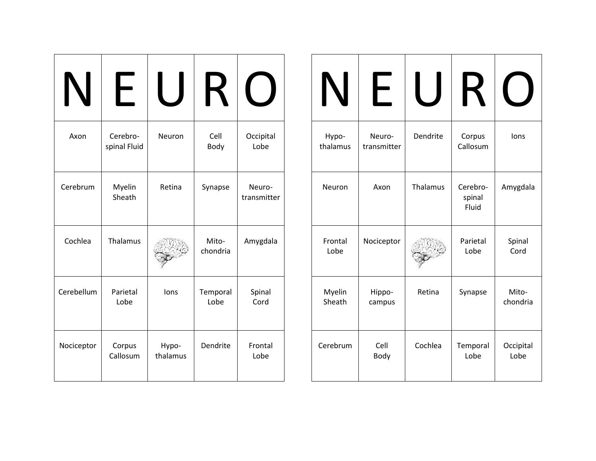| Axon       | Cerebro-<br>spinal Fluid | Neuron            | Cell<br>Body      | Occipital<br>Lobe     |
|------------|--------------------------|-------------------|-------------------|-----------------------|
| Cerebrum   | Myelin<br>Sheath         | Retina            | Synapse           | Neuro-<br>transmitter |
| Cochlea    | Thalamus                 |                   | Mito-<br>chondria | Amygdala              |
| Cerebellum | Parietal<br>Lobe         | lons              | Temporal<br>Lobe  | Spinal<br>Cord        |
| Nociceptor | Corpus<br>Callosum       | Hypo-<br>thalamus | Dendrite          | Frontal<br>Lobe       |

| IN                | ┣                     |          |                             |                   |
|-------------------|-----------------------|----------|-----------------------------|-------------------|
| Hypo-<br>thalamus | Neuro-<br>transmitter | Dendrite | Corpus<br>Callosum          | lons              |
| Neuron            | Axon                  | Thalamus | Cerebro-<br>spinal<br>Fluid | Amygdala          |
| Frontal<br>Lobe   | Nociceptor            |          | Parietal<br>Lobe            | Spinal<br>Cord    |
| Myelin<br>Sheath  | Hippo-<br>campus      | Retina   | Synapse                     | Mito-<br>chondria |
| Cerebrum          | Cell<br>Body          | Cochlea  | Temporal<br>Lobe            | Occipital<br>Lobe |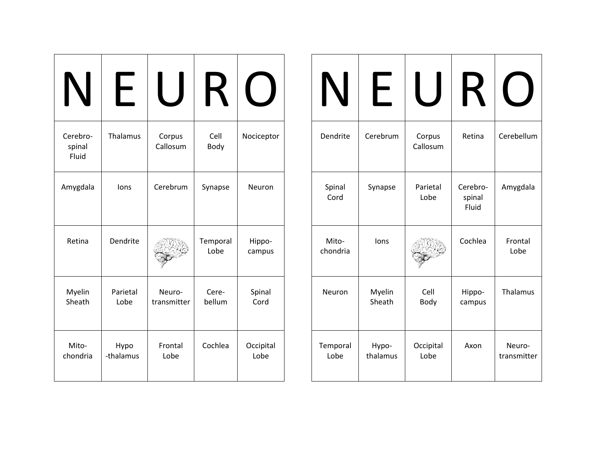| IV                          |                   |                       |                  |                   |
|-----------------------------|-------------------|-----------------------|------------------|-------------------|
| Cerebro-<br>spinal<br>Fluid | Thalamus          | Corpus<br>Callosum    | Cell<br>Body     | Nociceptor        |
| Amygdala                    | lons              | Cerebrum              | Synapse          | Neuron            |
| Retina                      | Dendrite          |                       | Temporal<br>Lobe | Hippo-<br>campus  |
| Myelin<br>Sheath            | Parietal<br>Lobe  | Neuro-<br>transmitter | Cere-<br>bellum  | Spinal<br>Cord    |
| Mito-<br>chondria           | Hypo<br>-thalamus | Frontal<br>Lobe       | Cochlea          | Occipital<br>Lobe |

| IN                | ┝                 |                    |                             |                       |
|-------------------|-------------------|--------------------|-----------------------------|-----------------------|
| Dendrite          | Cerebrum          | Corpus<br>Callosum | Retina                      | Cerebellum            |
| Spinal<br>Cord    | Synapse           | Parietal<br>Lobe   | Cerebro-<br>spinal<br>Fluid | Amygdala              |
| Mito-<br>chondria | lons              |                    | Cochlea                     | Frontal<br>Lobe       |
| Neuron            | Myelin<br>Sheath  | Cell<br>Body       | Hippo-<br>campus            | Thalamus              |
| Temporal<br>Lobe  | Hypo-<br>thalamus | Occipital<br>Lobe  | Axon                        | Neuro-<br>transmitter |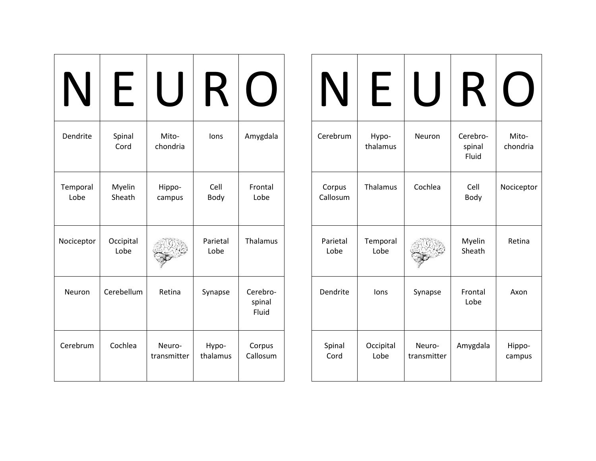| Dendrite         | Spinal<br>Cord    | Mito-<br>chondria     | lons              | Amygdala                    |
|------------------|-------------------|-----------------------|-------------------|-----------------------------|
| Temporal<br>Lobe | Myelin<br>Sheath  | Hippo-<br>campus      | Cell<br>Body      | Frontal<br>Lobe             |
| Nociceptor       | Occipital<br>Lobe |                       | Parietal<br>Lobe  | Thalamus                    |
| Neuron           | Cerebellum        | Retina                | Synapse           | Cerebro-<br>spinal<br>Fluid |
| Cerebrum         | Cochlea           | Neuro-<br>transmitter | Hypo-<br>thalamus | Corpus<br>Callosum          |

| N                  |                   |                       | K                           |                   |
|--------------------|-------------------|-----------------------|-----------------------------|-------------------|
| Cerebrum           | Hypo-<br>thalamus | Neuron                | Cerebro-<br>spinal<br>Fluid | Mito-<br>chondria |
| Corpus<br>Callosum | Thalamus          | Cochlea               | Cell<br>Body                | Nociceptor        |
| Parietal<br>Lobe   | Temporal<br>Lobe  |                       | Myelin<br>Sheath            | Retina            |
| Dendrite           | lons              | Synapse               | Frontal<br>Lobe             | Axon              |
| Spinal<br>Cord     | Occipital<br>Lobe | Neuro-<br>transmitter | Amygdala                    | Hippo-<br>campus  |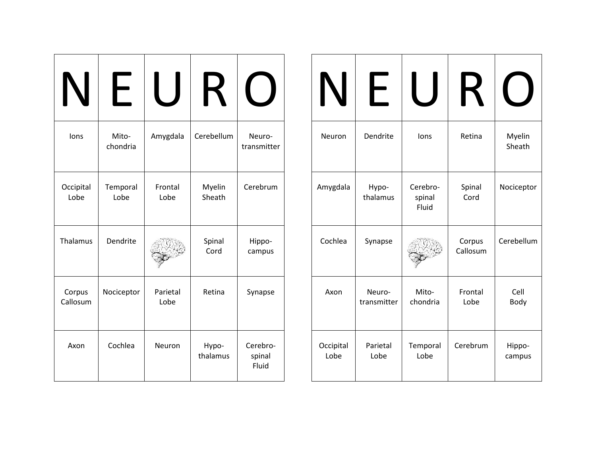|                    | $\overline{\phantom{0}}$ |                  |                   |                             |
|--------------------|--------------------------|------------------|-------------------|-----------------------------|
| lons               | Mito-<br>chondria        | Amygdala         | Cerebellum        | Neuro-<br>transmitter       |
| Occipital<br>Lobe  | Temporal<br>Lobe         | Frontal<br>Lobe  | Myelin<br>Sheath  | Cerebrum                    |
| Thalamus           | Dendrite                 |                  | Spinal<br>Cord    | Hippo-<br>campus            |
| Corpus<br>Callosum | Nociceptor               | Parietal<br>Lobe | Retina            | Synapse                     |
| Axon               | Cochlea                  | Neuron           | Hypo-<br>thalamus | Cerebro-<br>spinal<br>Fluid |

| $\mathsf{N}$      | ┝                     |                             | К                  |                  |
|-------------------|-----------------------|-----------------------------|--------------------|------------------|
| Neuron            | Dendrite              | lons                        | Retina             | Myelin<br>Sheath |
| Amygdala          | Hypo-<br>thalamus     | Cerebro-<br>spinal<br>Fluid | Spinal<br>Cord     | Nociceptor       |
| Cochlea           | Synapse               |                             | Corpus<br>Callosum | Cerebellum       |
| Axon              | Neuro-<br>transmitter | Mito-<br>chondria           | Frontal<br>Lobe    | Cell<br>Body     |
| Occipital<br>Lobe | Parietal<br>Lobe      | Temporal<br>Lobe            | Cerebrum           | Hippo-<br>campus |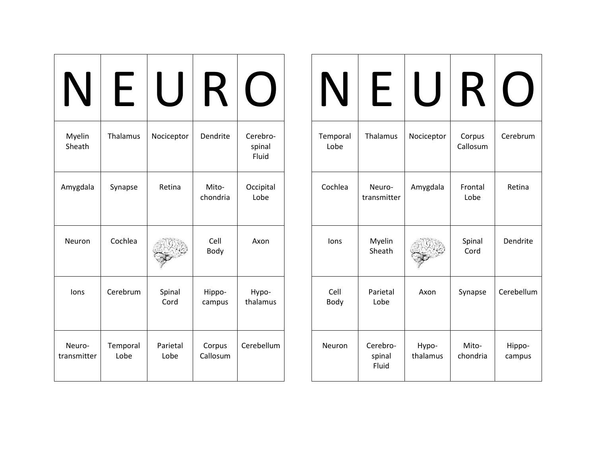| Myelin<br>Sheath      | Thalamus         | Nociceptor       | Dendrite           | Cerebro-<br>spinal<br>Fluid |
|-----------------------|------------------|------------------|--------------------|-----------------------------|
| Amygdala              | Synapse          | Retina           | Mito-<br>chondria  | Occipital<br>Lobe           |
| Neuron                | Cochlea          |                  | Cell<br>Body       | Axon                        |
| lons                  | Cerebrum         | Spinal<br>Cord   | Hippo-<br>campus   | Hypo-<br>thalamus           |
| Neuro-<br>transmitter | Temporal<br>Lobe | Parietal<br>Lobe | Corpus<br>Callosum | Cerebellum                  |

| IV               | $\blacksquare$              |                   | K                  |                  |
|------------------|-----------------------------|-------------------|--------------------|------------------|
| Temporal<br>Lobe | Thalamus                    | Nociceptor        | Corpus<br>Callosum | Cerebrum         |
| Cochlea          | Neuro-<br>transmitter       | Amygdala          | Frontal<br>Lobe    | Retina           |
| lons             | Myelin<br>Sheath            |                   | Spinal<br>Cord     | Dendrite         |
| Cell<br>Body     | Parietal<br>Lobe            | Axon              | Synapse            | Cerebellum       |
| Neuron           | Cerebro-<br>spinal<br>Fluid | Hypo-<br>thalamus | Mito-<br>chondria  | Hippo-<br>campus |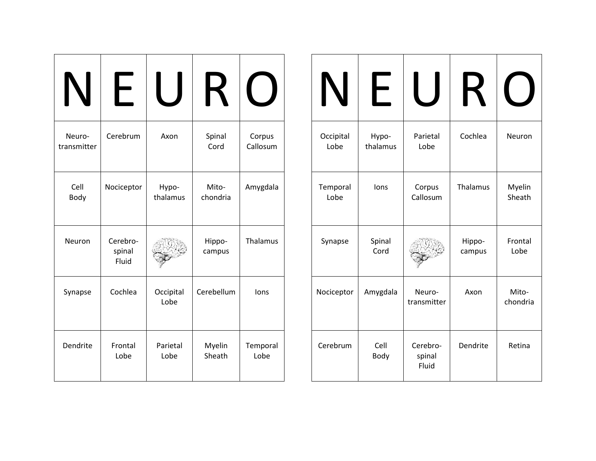| 1 \                   |                             |                   |                   |                    |
|-----------------------|-----------------------------|-------------------|-------------------|--------------------|
| Neuro-<br>transmitter | Cerebrum                    | Axon              | Spinal<br>Cord    | Corpus<br>Callosum |
| Cell<br>Body          | Nociceptor                  | Hypo-<br>thalamus | Mito-<br>chondria | Amygdala           |
| Neuron                | Cerebro-<br>spinal<br>Fluid |                   | Hippo-<br>campus  | Thalamus           |
| Synapse               | Cochlea                     | Occipital<br>Lobe | Cerebellum        | lons               |
| Dendrite              | Frontal<br>Lobe             | Parietal<br>Lobe  | Myelin<br>Sheath  | Temporal<br>Lobe   |

|                   | $\overline{\phantom{0}}$ |                             | K                |                   |
|-------------------|--------------------------|-----------------------------|------------------|-------------------|
| Occipital<br>Lobe | Hypo-<br>thalamus        | Parietal<br>Lobe            | Cochlea          | Neuron            |
| Temporal<br>Lobe  | lons                     | Corpus<br>Callosum          | Thalamus         | Myelin<br>Sheath  |
| Synapse           | Spinal<br>Cord           |                             | Hippo-<br>campus | Frontal<br>Lobe   |
| Nociceptor        | Amygdala                 | Neuro-<br>transmitter       | Axon             | Mito-<br>chondria |
| Cerebrum          | Cell<br>Body             | Cerebro-<br>spinal<br>Fluid | Dendrite         | Retina            |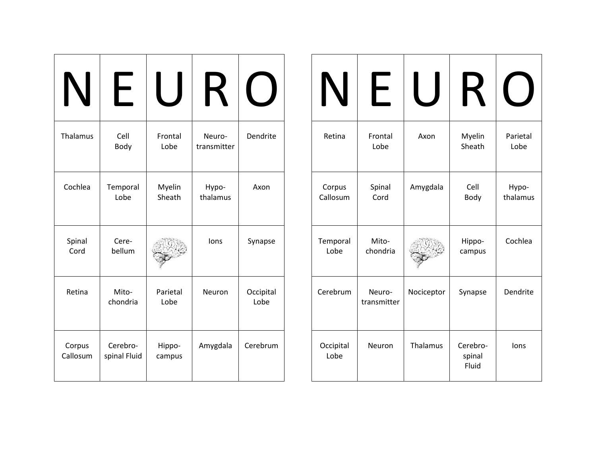| Thalamus           | Cell<br>Body             | Frontal<br>Lobe  | Neuro-<br>transmitter | Dendrite          |
|--------------------|--------------------------|------------------|-----------------------|-------------------|
| Cochlea            | Temporal<br>Lobe         | Myelin<br>Sheath | Hypo-<br>thalamus     | Axon              |
| Spinal<br>Cord     | Cere-<br>bellum          |                  | lons                  | Synapse           |
| Retina             | Mito-<br>chondria        | Parietal<br>Lobe | Neuron                | Occipital<br>Lobe |
| Corpus<br>Callosum | Cerebro-<br>spinal Fluid | Hippo-<br>campus | Amygdala              | Cerebrum          |

| Retina             | Frontal<br>Lobe       | Axon       | Myelin<br>Sheath            | Parietal<br>Lobe  |
|--------------------|-----------------------|------------|-----------------------------|-------------------|
| Corpus<br>Callosum | Spinal<br>Cord        | Amygdala   | Cell<br>Body                | Hypo-<br>thalamus |
| Temporal<br>Lobe   | Mito-<br>chondria     |            | Hippo-<br>campus            | Cochlea           |
| Cerebrum           | Neuro-<br>transmitter | Nociceptor | Synapse                     | Dendrite          |
| Occipital<br>Lobe  | Neuron                | Thalamus   | Cerebro-<br>spinal<br>Fluid | lons              |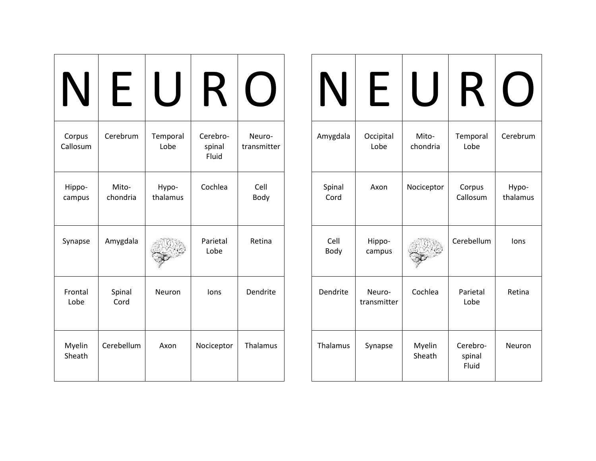|                    | H                 |                   | $\boldsymbol{\mathsf{R}}$   |                       |
|--------------------|-------------------|-------------------|-----------------------------|-----------------------|
| Corpus<br>Callosum | Cerebrum          | Temporal<br>Lobe  | Cerebro-<br>spinal<br>Fluid | Neuro-<br>transmitter |
| Hippo-<br>campus   | Mito-<br>chondria | Hypo-<br>thalamus | Cochlea                     | Cell<br>Body          |
| Synapse            | Amygdala          |                   | Parietal<br>Lobe            | Retina                |
| Frontal<br>Lobe    | Spinal<br>Cord    | Neuron            | lons                        | Dendrite              |
| Myelin<br>Sheath   | Cerebellum        | Axon              | Nociceptor                  | Thalamus              |

|                | ┝                     |                   | $\bm{\mathsf{R}}$           |                   |
|----------------|-----------------------|-------------------|-----------------------------|-------------------|
| Amygdala       | Occipital<br>Lobe     | Mito-<br>chondria | Temporal<br>Lobe            | Cerebrum          |
| Spinal<br>Cord | Axon                  | Nociceptor        | Corpus<br>Callosum          | Hypo-<br>thalamus |
| Cell<br>Body   | Hippo-<br>campus      |                   | Cerebellum                  | lons              |
| Dendrite       | Neuro-<br>transmitter | Cochlea           | Parietal<br>Lobe            | Retina            |
| Thalamus       | Synapse               | Myelin<br>Sheath  | Cerebro-<br>spinal<br>Fluid | Neuron            |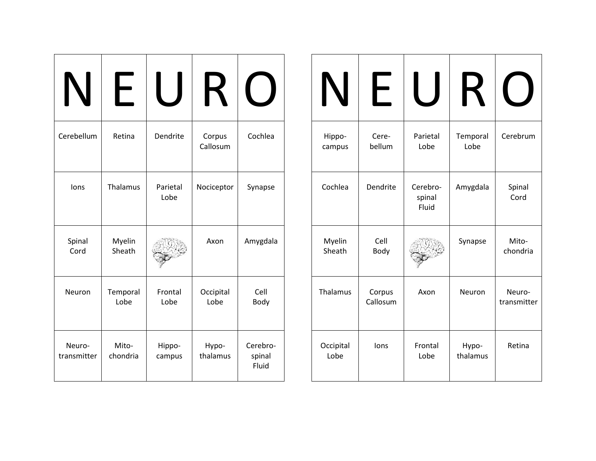|                       | ┝                 |                  | К                  |                             |
|-----------------------|-------------------|------------------|--------------------|-----------------------------|
| Cerebellum            | Retina            | Dendrite         | Corpus<br>Callosum | Cochlea                     |
| lons                  | Thalamus          | Parietal<br>Lobe | Nociceptor         | Synapse                     |
| Spinal<br>Cord        | Myelin<br>Sheath  |                  | Axon               | Amygdala                    |
| Neuron                | Temporal<br>Lobe  | Frontal<br>Lobe  | Occipital<br>Lobe  | Cell<br>Body                |
| Neuro-<br>transmitter | Mito-<br>chondria | Hippo-<br>campus | Hypo-<br>thalamus  | Cerebro-<br>spinal<br>Fluid |

| Hippo-<br>campus  | Cere-<br>bellum    | Parietal<br>Lobe            | Temporal<br>Lobe  | Cerebrum              |
|-------------------|--------------------|-----------------------------|-------------------|-----------------------|
| Cochlea           | Dendrite           | Cerebro-<br>spinal<br>Fluid | Amygdala          | Spinal<br>Cord        |
| Myelin<br>Sheath  | Cell<br>Body       |                             | Synapse           | Mito-<br>chondria     |
| Thalamus          | Corpus<br>Callosum | Axon                        | Neuron            | Neuro-<br>transmitter |
| Occipital<br>Lobe | lons               | Frontal<br>Lobe             | Hypo-<br>thalamus | Retina                |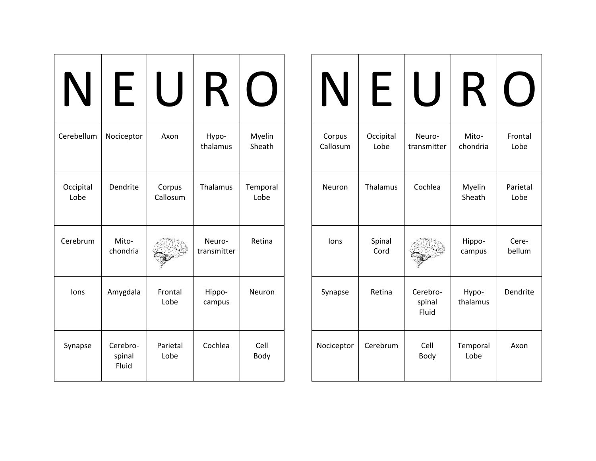| N                 | ┝                           |                    | К                     |                  |
|-------------------|-----------------------------|--------------------|-----------------------|------------------|
| Cerebellum        | Nociceptor                  | Axon               | Hypo-<br>thalamus     | Myelin<br>Sheath |
| Occipital<br>Lobe | Dendrite                    | Corpus<br>Callosum | Thalamus              | Temporal<br>Lobe |
| Cerebrum          | Mito-<br>chondria           |                    | Neuro-<br>transmitter | Retina           |
| lons              | Amygdala                    | Frontal<br>Lobe    | Hippo-<br>campus      | Neuron           |
| Synapse           | Cerebro-<br>spinal<br>Fluid | Parietal<br>Lobe   | Cochlea               | Cell<br>Body     |

| IN                 | $\overline{\phantom{0}}$ |                             |                   |                  |
|--------------------|--------------------------|-----------------------------|-------------------|------------------|
| Corpus<br>Callosum | Occipital<br>Lobe        | Neuro-<br>transmitter       | Mito-<br>chondria | Frontal<br>Lobe  |
| Neuron             | Thalamus                 | Cochlea                     | Myelin<br>Sheath  | Parietal<br>Lobe |
| lons               | Spinal<br>Cord           |                             | Hippo-<br>campus  | Cere-<br>bellum  |
| Synapse            | Retina                   | Cerebro-<br>spinal<br>Fluid | Hypo-<br>thalamus | Dendrite         |
| Nociceptor         | Cerebrum                 | Cell<br>Body                | Temporal<br>Lobe  | Axon             |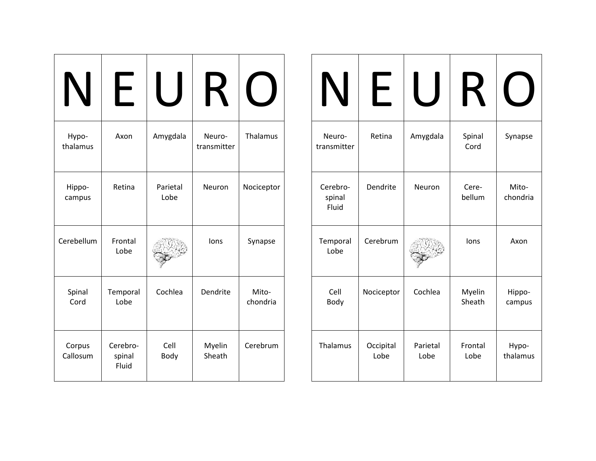| Hypo-<br>thalamus  | Axon                        | Amygdala         | Neuro-<br>transmitter | Thalamus          |
|--------------------|-----------------------------|------------------|-----------------------|-------------------|
| Hippo-<br>campus   | Retina                      | Parietal<br>Lobe | Neuron                | Nociceptor        |
| Cerebellum         | Frontal<br>Lobe             |                  | lons                  | Synapse           |
| Spinal<br>Cord     | Temporal<br>Lobe            | Cochlea          | Dendrite              | Mito-<br>chondria |
| Corpus<br>Callosum | Cerebro-<br>spinal<br>Fluid | Cell<br>Body     | Myelin<br>Sheath      | Cerebrum          |

| IN                          | $\overline{\phantom{0}}$ |                  |                  |                   |
|-----------------------------|--------------------------|------------------|------------------|-------------------|
| Neuro-<br>transmitter       | Retina                   | Amygdala         | Spinal<br>Cord   | Synapse           |
| Cerebro-<br>spinal<br>Fluid | Dendrite                 | Neuron           | Cere-<br>bellum  | Mito-<br>chondria |
| Temporal<br>Lobe            | Cerebrum                 |                  | lons             | Axon              |
| Cell<br>Body                | Nociceptor               | Cochlea          | Myelin<br>Sheath | Hippo-<br>campus  |
| Thalamus                    | Occipital<br>Lobe        | Parietal<br>Lobe | Frontal<br>Lobe  | Hypo-<br>thalamus |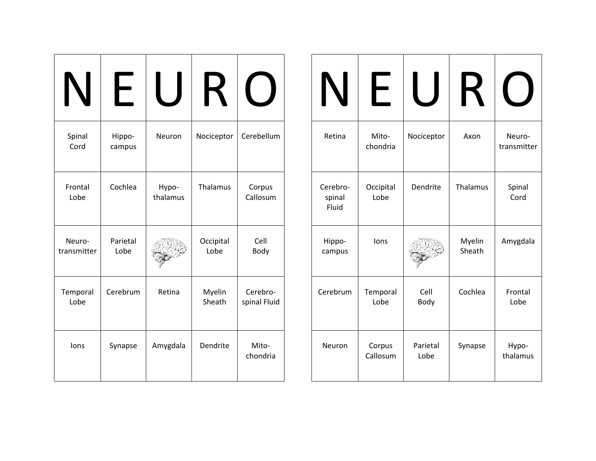| IN                    |                  |                   |                   |                          |
|-----------------------|------------------|-------------------|-------------------|--------------------------|
| Spinal<br>Cord        | Hippo-<br>campus | Neuron            | Nociceptor        | Cerebellum               |
| Frontal<br>Lobe       | Cochlea          | Hypo-<br>thalamus | Thalamus          | Corpus<br>Callosum       |
| Neuro-<br>transmitter | Parietal<br>Lobe |                   | Occipital<br>Lobe | Cell<br>Body             |
| Temporal<br>Lobe      | Cerebrum         | Retina            | Myelin<br>Sheath  | Cerebro-<br>spinal Fluid |
| lons                  | Synapse          | Amygdala          | Dendrite          | Mito-<br>chondria        |

|                             | ┝                  |                  |                  |                       |
|-----------------------------|--------------------|------------------|------------------|-----------------------|
| Retina                      | Mito-<br>chondria  | Nociceptor       | Axon             | Neuro-<br>transmitter |
| Cerebro-<br>spinal<br>Fluid | Occipital<br>Lobe  | Dendrite         | Thalamus         | Spinal<br>Cord        |
| Hippo-<br>campus            | lons               |                  | Myelin<br>Sheath | Amygdala              |
| Cerebrum                    | Temporal<br>Lobe   | Cell<br>Body     | Cochlea          | Frontal<br>Lobe       |
| Neuron                      | Corpus<br>Callosum | Parietal<br>Lobe | Synapse          | Hypo-<br>thalamus     |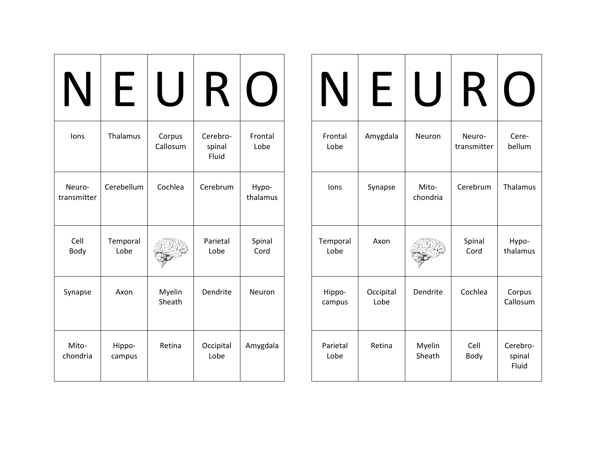|                       |                  |                    | $\blacktriangleright$       |                   |
|-----------------------|------------------|--------------------|-----------------------------|-------------------|
| lons                  | Thalamus         | Corpus<br>Callosum | Cerebro-<br>spinal<br>Fluid | Frontal<br>Lobe   |
| Neuro-<br>transmitter | Cerebellum       | Cochlea            | Cerebrum                    | Hypo-<br>thalamus |
| Cell<br>Body          | Temporal<br>Lobe |                    | Parietal<br>Lobe            | Spinal<br>Cord    |
| Synapse               | Axon             | Myelin<br>Sheath   | Dendrite                    | Neuron            |
| Mito-<br>chondria     | Hippo-<br>campus | Retina             | Occipital<br>Lobe           | Amygdala          |

| IN               | ┝                 |                   | K                     |                             |
|------------------|-------------------|-------------------|-----------------------|-----------------------------|
| Frontal<br>Lobe  | Amygdala          | Neuron            | Neuro-<br>transmitter | Cere-<br>bellum             |
| lons             | Synapse           | Mito-<br>chondria | Cerebrum              | Thalamus                    |
| Temporal<br>Lobe | Axon              |                   | Spinal<br>Cord        | Hypo-<br>thalamus           |
| Hippo-<br>campus | Occipital<br>Lobe | Dendrite          | Cochlea               | Corpus<br>Callosum          |
| Parietal<br>Lobe | Retina            | Myelin<br>Sheath  | Cell<br>Body          | Cerebro-<br>spinal<br>Fluid |